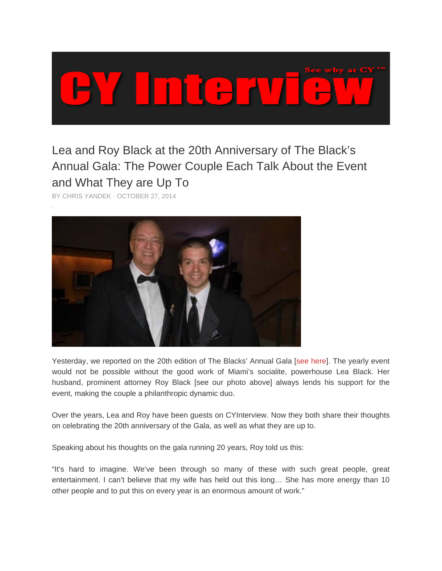

## Lea and Roy Black at the 20th Anniversary of The Black's Annual Gala: The Power Couple Each Talk About the Event and What They are Up To

BY CHRIS YANDEK · OCTOBER 27, 2014



Yesterday, we reported on the 20th edition of The Blacks' Annual Gala [see here]. The yearly event would not be possible without the good work of Miami's socialite, powerhouse Lea Black. Her husband, prominent attorney Roy Black [see our photo above] always lends his support for the event, making the couple a philanthropic dynamic duo.

Over the years, Lea and Roy have been guests on CYInterview. Now they both share their thoughts on celebrating the 20th anniversary of the Gala, as well as what they are up to.

Speaking about his thoughts on the gala running 20 years, Roy told us this:

"It's hard to imagine. We've been through so many of these with such great people, great entertainment. I can't believe that my wife has held out this long... She has more energy than 10 other people and to put this on every year is an enormous amount of work."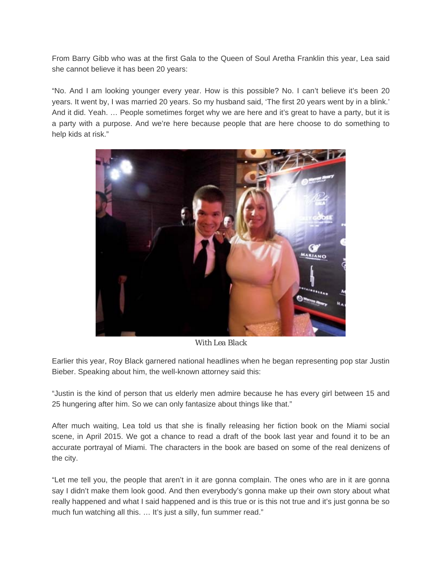From Barry Gibb who was at the first Gala to the Queen of Soul Aretha Franklin this year, Lea said she cannot believe it has been 20 years:

"No. And I am looking younger every year. How is this possible? No. I can't believe it's been 20 years. It went by, I was married 20 years. So my husband said, 'The first 20 years went by in a blink.' And it did. Yeah. … People sometimes forget why we are here and it's great to have a party, but it is a party with a purpose. And we're here because people that are here choose to do something to help kids at risk."



*With Lea Black* 

Earlier this year, Roy Black garnered national headlines when he began representing pop star Justin Bieber. Speaking about him, the well-known attorney said this:

"Justin is the kind of person that us elderly men admire because he has every girl between 15 and 25 hungering after him. So we can only fantasize about things like that."

After much waiting, Lea told us that she is finally releasing her fiction book on the Miami social scene, in April 2015. We got a chance to read a draft of the book last year and found it to be an accurate portrayal of Miami. The characters in the book are based on some of the real denizens of the city.

"Let me tell you, the people that aren't in it are gonna complain. The ones who are in it are gonna say I didn't make them look good. And then everybody's gonna make up their own story about what really happened and what I said happened and is this true or is this not true and it's just gonna be so much fun watching all this. ... It's just a silly, fun summer read."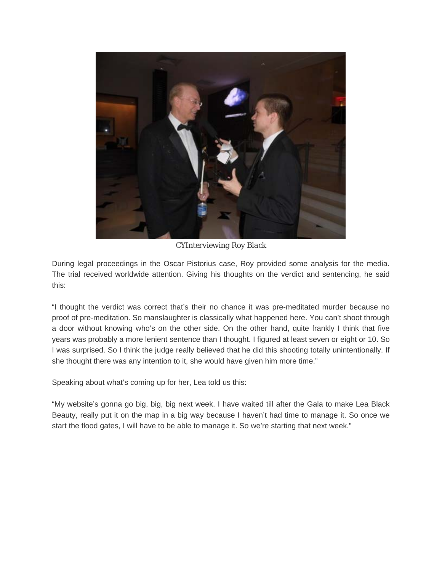

*CYInterviewing Roy Black* 

During legal proceedings in the Oscar Pistorius case, Roy provided some analysis for the media. The trial received worldwide attention. Giving his thoughts on the verdict and sentencing, he said this:

"I thought the verdict was correct that's their no chance it was pre-meditated murder because no proof of pre-meditation. So manslaughter is classically what happened here. You can't shoot through a door without knowing who's on the other side. On the other hand, quite frankly I think that five years was probably a more lenient sentence than I thought. I figured at least seven or eight or 10. So I was surprised. So I think the judge really believed that he did this shooting totally unintentionally. If she thought there was any intention to it, she would have given him more time."

Speaking about what's coming up for her, Lea told us this:

"My website's gonna go big, big, big next week. I have waited till after the Gala to make Lea Black Beauty, really put it on the map in a big way because I haven't had time to manage it. So once we start the flood gates, I will have to be able to manage it. So we're starting that next week."